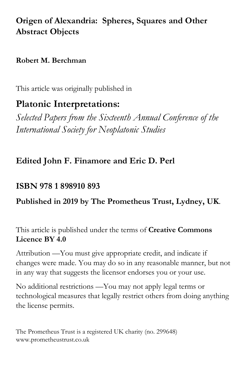# **Origen of Alexandria: Spheres, Squares and Other Abstract Objects**

### **Robert M. Berchman**

This article was originally published in

# **Platonic Interpretations:**

*Selected Papers from the Sixteenth Annual Conference of the International Society for Neoplatonic Studies*

## **Edited John F. Finamore and Eric D. Perl**

## **ISBN 978 1 898910 893**

### **Published in 2019 by The Prometheus Trust, Lydney, UK**.

This article is published under the terms of **Creative Commons Licence BY 4.0**

Attribution —You must give appropriate credit, and indicate if changes were made. You may do so in any reasonable manner, but not in any way that suggests the licensor endorses you or your use.

No additional restrictions —You may not apply legal terms or technological measures that legally restrict others from doing anything the license permits.

The Prometheus Trust is a registered UK charity (no. 299648) www.prometheustrust.co.uk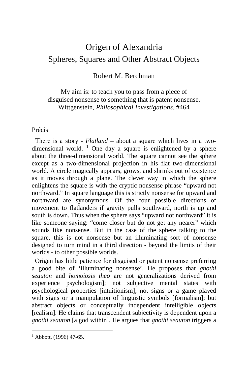# Origen of Alexandria Spheres, Squares and Other Abstract Objects

### Robert M. Berchman

My aim is: to teach you to pass from a piece of disguised nonsense to something that is patent nonsense. Wittgenstein, *Philosophical Investigations,* #464

#### Précis

 There is a story - *Flatland* – about a square which lives in a two-dimensional world. <sup>[1](#page-1-0)</sup> One day a square is enlightened by a sphere about the three-dimensional world. The square cannot see the sphere except as a two-dimensional projection in his flat two-dimensional world. A circle magically appears, grows, and shrinks out of existence as it moves through a plane. The clever way in which the sphere enlightens the square is with the cryptic nonsense phrase "upward not northward." In square language this is strictly nonsense for upward and northward are synonymous. Of the four possible directions of movement to flatlanders if gravity pulls southward, north is up and south is down. Thus when the sphere says "upward not northward" it is like someone saying: "come closer but do not get any nearer" which sounds like nonsense. But in the case of the sphere talking to the square, this is not nonsense but an illuminating sort of nonsense designed to turn mind in a third direction - beyond the limits of their worlds - to other possible worlds.

 Origen has little patience for disguised or patent nonsense preferring a good bite of 'illuminating nonsense'. He proposes that *gnothi seauton* and *homoiosis theo* are not generalizations derived from experience psychologism]; not subjective mental states with psychological properties [intuitionism]; not signs or a game played with signs or a manipulation of linguistic symbols [formalism]; but abstract objects or conceptually independent intelligible objects [realism]. He claims that transcendent subjectivity is dependent upon a *gnothi seauton* [a god within]. He argues that *gnothi seauton* triggers a

<span id="page-1-0"></span> $1$  Abbott, (1996) 47-65.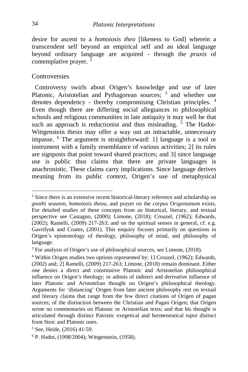desire for ascent to a *homoiosis theo* [likeness to God] wherein a transcendent self beyond an empirical self and an ideal language beyond ordinary language are acquired - through the *praxis* of contemplative prayer.  $2$ 

#### **Controversies**

 Controversy swirls about Origen's knowledge and use of later Platonic, Aristotelian and Pythagorean sources; <sup>[3](#page-2-1)</sup> and whether use denotes dependency - thereby compromising Christian principles. [4](#page-2-2) Even though there are differing social allegiances to philosophical schools and religious communities in late antiquity it may well be that such an approach is reductionist and thus misleading.  $\frac{5}{3}$  $\frac{5}{3}$  $\frac{5}{3}$  The Hadot-Wittgenstein thesis may offer a way out an intractable, unnecessary impasse. [6](#page-2-4) The argument is straightforward: 1] language is a tool or instrument with a family resemblance of various activities; 2] its rules are signposts that point toward shared practices; and 3] since language use is public thus claims that there are private languages is anachronistic. These claims carry implications. Since language derives meaning from its public context, Origen's use of metaphysical

<span id="page-2-0"></span><sup>2</sup> Since there is an extensive recent historical-literary reference and scholarship on *gnothi seauton*, *homoiosis theou*, and prayer on the *corpus Origenianum* exists. For detailed studies of these concepts from an historical, literary, and textual perspective see Castagno, (2000); Limone, (2018); Crouzel, (1962); Edwards,  $(2002)$ ; Ramelli,  $(2009)$  217-263; and on the spiritual senses in general, cf. e.g. Gavrilyuk and Coates, (2001). This enquiry focuses primarily on questions in Origen's epistemology of theology, philosophy of mind, and philosophy of language.

<span id="page-2-1"></span><sup>3</sup> For analysis of Origen's use of philosophical sources, see Limone, (2018).

<span id="page-2-2"></span><sup>&</sup>lt;sup>4</sup> Within Origen studies two options represented by: 1] Crouzel, (1962); Edwards, (2002) and; 2] Ramelli, (2009) 217-263; Limone, (2018) remain dominant. Either one denies a direct and constitutive Platonic and Aristotelian philosophical influence on Origen's theology; or admits of indirect and derivative influence of later Platonic and Aristotelian thought on Origen's philosophical theology. Arguments for 'distancing' Origen from later ancient philosophy rest on textual and literary claims that range from the few direct citations of Origen of pagan sources; of the distinction between the Christian and Pagan Origen; that Origen wrote no commentaries on Platonic or Aristotelian texts; and that his thought is articulated through distinct Patristic exegetical and hermeneutical *topoi* distinct from Stoic and Platonic ones.

<span id="page-2-3"></span><sup>5</sup> See, Heide, (2016) 41-59.

<span id="page-2-4"></span><sup>6</sup> P. Hadot, (1998/2004); Wittgenstein, (1958).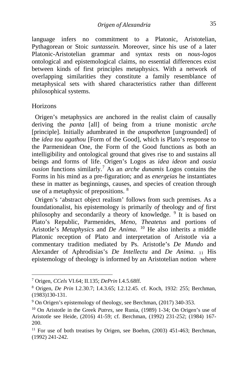language infers no commitment to a Platonic, Aristotelian, Pythagorean or Stoic *suntassein.* Moreover, since his use of a later Platonic-Aristotelian grammar and syntax rests on *nous-logos* ontological and epistemological claims, no essential differences exist between kinds of first principles metaphysics. With a network of overlapping similarities they constitute a family resemblance of metaphysical sets with shared characteristics rather than different philosophical systems.

Horizons

 Origen's metaphysics are anchored in the realist claim of causally deriving the *panta* [all] of being from a triune monistic *arche*  [principle]. Initially adumbrated in the *anupotheton* [ungrounded] of the *idea tou agathou* [Form of the Good], which is Plato's response to the Parmenidean One, the Form of the Good functions as both an intelligibility and ontological ground that gives rise to and sustains all beings and forms of life. Origen's Logos as *idea ideon* and *ousia ousion* functions similarly.[7](#page-3-0) As an *arche dunamis* Logos contains the Forms in his mind as a pre-figuration; and as *energeias* he instantiates these in matter as beginnings, causes, and species of creation through use of a metaphysic of prepositions. [8](#page-3-1)

 Origen's 'abstract object realism' follows from such premises. As a foundationalist, his epistemology is primarily *of* theology and *of* first philosophy and secondarily a theory of knowledge. [9](#page-3-2) It is based on Plato's Republic, Parmenides, *Meno*, *Theatetus* and portions of Aristotle's *Metaphysics* and *De Anima*. <sup>[10](#page-3-3)</sup> He also inherits a middle Platonic reception of Plato and interpretation of Aristotle via a commentary tradition mediated by Ps. Aristotle's *De Mundo* and Alexander of Aphrodisias's *De Intellectu* and *De Anima*. [11](#page-3-4) His epistemology of theology is informed by an Aristotelian notion where

<span id="page-3-0"></span><sup>7</sup> Origen, *CCels* VI.64; II.135; *DePrin* I.4.5.68ff.

<span id="page-3-1"></span><sup>8</sup> Origen, *De Prin* I.2.30.7; I.4.3.65; I.2.12.45. cf. Koch, 1932: 255; Berchman, (1983)130-131.

<span id="page-3-2"></span><sup>9</sup> On Origen's epistemology of theology, see Berchman, (2017) 340-353.

<span id="page-3-3"></span><sup>10</sup> On Aristotle in the Greek *Patres*, see Runia, (1989) 1-34; On Origen's use of Aristotle see Heide, (2016) 41-59; cf. Berchman, (1992) 231-252; (1984) 167- 200.

<span id="page-3-4"></span><sup>&</sup>lt;sup>11</sup> For use of both treatises by Origen, see Boehm, (2003) 451-463; Berchman, (1992) 241-242.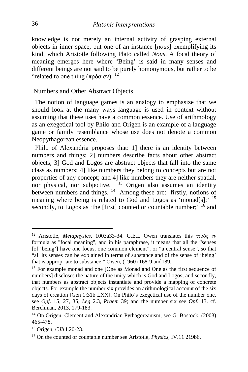knowledge is not merely an internal activity of grasping external objects in inner space, but one of an instance [*nous*] exemplifying its kind, which Aristotle following Plato called *Nous*. A focal theory of meaning emerges here where 'Being' is said in many senses and different beings are not said to be purely homonymous, but rather to be "related to one thing  $(\pi \rho \dot{\sigma} \sigma e \nu)$ .<sup>[12](#page-4-0)</sup>

#### Numbers and Other Abstract Objects

 The notion of language games is an analogy to emphasize that we should look at the many ways language is used in context without assuming that these uses have a common essence. Use of arithmology as an exegetical tool by Philo and Origen is an example of a language game or family resemblance whose use does not denote a common Neopythagorean essence.

 Philo of Alexandria proposes that: 1] there is an identity between numbers and things; 2] numbers describe facts about other abstract objects; 3] God and Logos are abstract objects that fall into the same class as numbers; 4] like numbers they belong to concepts but are not properties of any concept; and 4] like numbers they are neither spatial, nor physical, nor subjective. <sup>[13](#page-4-1)</sup> Origen also assumes an identity between numbers and things. <sup>14</sup> Among these are: firstly, notions of meaning where being is related to God and Logos as 'monad[s];'  $15$ secondly, to Logos as 'the [first] counted or countable number;' <sup>[16](#page-4-4)</sup> and

<span id="page-4-0"></span><sup>12</sup> Aristotle, *Metaphysics*, 1003a33-34. G.E.L Owen translates this ττρός *εv* formula as "focal meaning", and in his paraphrase, it means that all the "senses [of 'being'] have one focus, one common element", or "a central sense", so that "all its senses can be explained in terms of substance and of the sense of 'being' that is appropriate to substance." Owen, (1960) 168-9 and189.

<span id="page-4-1"></span><sup>&</sup>lt;sup>13</sup> For example monad and one [One as Monad and One as the first sequence of numbers] discloses the nature of the unity which is God and Logos; and secondly, that numbers as abstract objects instantiate and provide a mapping of concrete objects. For example the number six provides an arithmological account of the six days of creation [Gen 1:31b LXX]. On Philo's exegetical use of the number one, see *Opf*. 15, 27, 35, *Leg* 2.3, *Praem* 39; and the number six see *Opf.* 13. cf. Berchman, 2013, 179-183.

<span id="page-4-2"></span><sup>14</sup> On Origen, Clement and Alexandrian Pythagoreanism, see G. Bostock, (2003) 465-478.

<span id="page-4-3"></span><sup>15</sup> Origen, *CJh* I.20-23.

<span id="page-4-4"></span><sup>16</sup> On the counted or countable number see Aristotle, *Physics*, IV.11 219b6.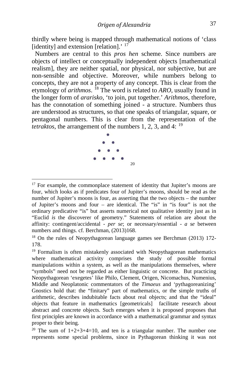thirdly where being is mapped through mathematical notions of 'class [identity] and extension [relation].<sup>'  $17$ </sup>

 Numbers are central to this *pros hen* scheme. Since numbers are objects of intellect or conceptually independent objects [mathematical realism], they are neither spatial, nor physical, nor subjective, but are non-sensible and objective. Moreover, while numbers belong to concepts, they are not a property of any concept. This is clear from the etymology of *arithmos*. [18](#page-5-1) The word is related to *ARO*, usually found in the longer form of *ararisko*, 'to join, put together.' *Arithmos*, therefore, has the connotation of something joined - a structure. Numbers thus are understood as structures, so that one speaks of triangular, square, or pentagonal numbers. This is clear from the representation of the *tetraktos*, the arrangement of the numbers 1, 2, 3, and 4: <sup>[19](#page-5-2)</sup>



<span id="page-5-0"></span> $17$  For example, the commonplace statement of identity that Jupiter's moons are four, which looks as if predicates four of Jupiter's moons, should be read as the number of Jupiter's moons is four, as asserting that the two objects – the number of Jupiter's moons and four – are identical. The "is" in "is four" is not the ordinary predicative "is" but asserts numerical not qualitative identity just as in "Euclid *is* the discoverer of geometry." Statements of relation are about the affinity: contingent/accidental - *per se*; or necessary/essential - *a se* between numbers and things. cf. Berchman, (2013)168.

<span id="page-5-1"></span><sup>&</sup>lt;sup>18</sup> On the rules of Neopythagorean language games see Berchman (2013) 172-178.

<span id="page-5-2"></span><sup>&</sup>lt;sup>19</sup> Formalism is often mistakenly associated with Neopythagorean mathematics where mathematical activity comprises the study of possible formal manipulations within a system, as well as the manipulations themselves, where "symbols" need not be regarded as either linguistic or concrete. But practicing Neopythagorean 'exegetes' like Philo, Clement, Origen, Nicomachus, Numenius, Middle and Neoplatonic commentators of the *Timaeus* and 'pythagoreanizing' Gnostics hold that: the "finitary" part of mathematics, or the simple truths of arithmetic, describes indubitable facts about real objects; and that the "ideal" objects that feature in mathematics [geometricals] facilitate research about abstract and concrete objects. Such emerges when it is proposed proposes that first principles are known in accordance with a mathematical grammar and syntax proper to their being.

<span id="page-5-3"></span><sup>&</sup>lt;sup>20</sup> The sum of  $1+2+3+4=10$ , and ten is a triangular number. The number one represents some special problems, since in Pythagorean thinking it was not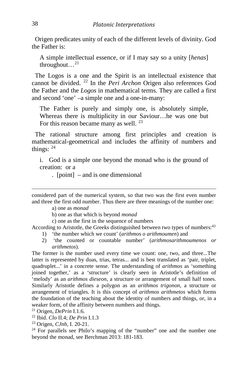Origen predicates unity of each of the different levels of divinity. God the Father is:

A simple intellectual essence, or if I may say so a unity [*henas*] throughout... $^{21}$  $^{21}$  $^{21}$ 

 The Logos is a one and the Spirit is an intellectual existence that cannot be divided. [22](#page-6-1) In the *Peri Archon* Origen also references God the Father and the *Logos* in mathematical terms. They are called a first and second 'one' –a simple one and a one-in-many:

The Father is purely and simply one, is absolutely simple, Whereas there is multiplicity in our Saviour…he was one but For this reason became many as well. <sup>[23](#page-6-2)</sup>

 The rational structure among first principles and creation is mathematical-geometrical and includes the affinity of numbers and things: [24](#page-6-3)

i. God is a simple one beyond the monad who is the ground of creation: or a

. [point] – and is one dimensional

 considered part of the numerical system, so that two was the first even number and three the first odd number. Thus there are three meanings of the number one:

a) one as *monad*

b) one as that which is beyond *monad*

c) one as the first in the sequence of numbers

According to Aristotle, the Greeks distinguished between two types of numbers:<sup>43</sup>

- 1) 'the number which we count' (*arithmos o arithmoumen*) and
- 2) 'the counted or countable number' (*arithmosarithmoumenos or arithmetos*).

The former is the number used every time we count: one, two, and three...The latter is represented by duas, trias, tetras... and is best translated as 'pair, triplet, quadruplet...' in a concrete sense. The understanding of *arithmos* as 'something joined together,' as a 'structure' is clearly seen in Aristotle's definition of 'melody' as an *arithmos dieseon*, a structure or arrangement of small half tones. Similarly Aristotle defines a polygon as an *arithmos trigonon*, a structure or arrangement of triangles. It is this concept of *arithmos arithmetos* which forms the foundation of the teaching about the identity of numbers and things, or, in a weaker form, of the affinity between numbers and things.

<span id="page-6-0"></span><sup>21</sup> Origen, *DePrin* I.1.6.

<span id="page-6-1"></span><sup>22</sup> Ibid. *Clo* II.4; *De Prin* I.1.3

<span id="page-6-2"></span><sup>23</sup> Origen, *CJnh*, I. 20-21.

<span id="page-6-3"></span><sup>24</sup> For parallels see Philo's mapping of the "number" one and the number one beyond the monad, see Berchman 2013: 181-183.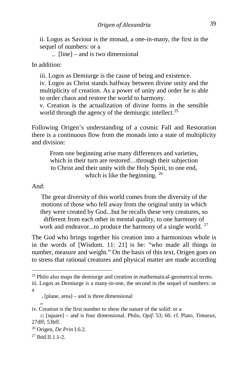ii. Logos as Saviour is the monad, a one-in-many, the first in the sequel of numbers: or a

.. [line] – and is two dimensional

In addition:

iii. Logos as Demiurge is the cause of being and existence.

iv. Logos as Christ stands halfway between divine unity and the multiplicity of creation. As a power of unity and order he is able to order chaos and restore the world to harmony.

v. Creation is the actualization of divine forms in the sensible world through the agency of the demiurgic intellect.<sup>[25](#page-7-0)</sup>

Following Origen's understanding of a cosmic Fall and Restoration there is a continuous flow from the monads into a state of multiplicity and division:

From one beginning arise many differences and varieties, which in their turn are restored...through their subjection to Christ and their unity with the Holy Spirit, to one end, which is like the beginning. <sup>[26](#page-7-1)</sup>

And:

The great diversity of this world comes from the diversity of the motions of those who fell away from the original unity in which they were created by God...but he recalls these very creatures, so different from each other in mental quality, to one harmony of work and endeavor...to produce the harmony of a single world.  $27$ 

The God who brings together his creation into a harmonious whole is in the words of [Wisdom. 11: 21] is he: "who made all things in number, measure and weight." On the basis of this text, Origen goes on to stress that rational creatures and physical matter are made according

<span id="page-7-0"></span> $25$  Philo also maps the demiurge and creation in mathematical-geometrical terms. iii. Logos as Demiurge is a many-in-one, the second in the sequel of numbers: or a

**.** [plane, area] – and is three dimensional

**<sup>..</sup> ..** iv. Creation is the first number to show the nature of the solid: or a

**::** [square] – and is four dimensional. Philo, *Opif*. 53; 60. cf. Plato, *Timaeus*, 27dff; 53bff.

<span id="page-7-1"></span><sup>26</sup> Origen, *De Prin* I.6.2.

<span id="page-7-2"></span> $27$  Ibid.II.1.1-2.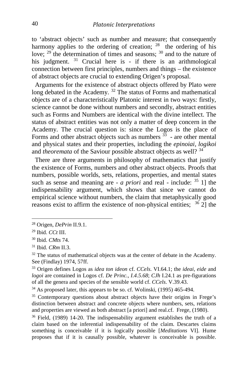to 'abstract objects' such as number and measure; that consequently harmony applies to the ordering of creation;  $^{28}$  the ordering of his love;  $^{29}$  $^{29}$  $^{29}$  the determination of times and seasons;  $^{30}$  $^{30}$  $^{30}$  and to the nature of his judgment. <sup>[31](#page-8-3)</sup> Crucial here is - if there is an arithmological connection between first principles, numbers and things – the existence of abstract objects are crucial to extending Origen's proposal.

 Arguments for the existence of abstract objects offered by Plato were long debated in the Academy.<sup>[32](#page-8-4)</sup> The status of Forms and mathematical objects are of a characteristically Platonic interest in two ways: firstly, science cannot be done without numbers and secondly, abstract entities such as Forms and Numbers are identical with the divine intellect. The status of abstract entities was not only a matter of deep concern in the Academy. The crucial question is: since the Logos is the place of Forms and other abstract objects such as numbers  $\frac{33}{12}$  $\frac{33}{12}$  $\frac{33}{12}$  - are other mental and physical states and their properties, including the *epinoiai, logikoi* and *theoremata* of the Saviour possible abstract objects as well? [34](#page-8-6)

 There are three arguments in philosophy of mathematics that justify the existence of Forms, numbers and other abstract objects. Proofs that numbers, possible worlds, sets, relations, properties, and mental states such as sense and meaning are - *a priori* and real - include: [35](#page-8-7) 1] the indispensability argument, which shows that since we cannot do empirical science without numbers, the claim that metaphysically good reasons exist to affirm the existence of non-physical entities;  $36\overline{2}$  $36\overline{2}$ ] the

<span id="page-8-0"></span><sup>28</sup> Origen, *DePrin* II.9.1.

<span id="page-8-1"></span><sup>29</sup> Ibid. *CCt* III.

<span id="page-8-2"></span><sup>30</sup> Ibid. *CMts* 74.

<span id="page-8-3"></span><sup>31</sup> Ibid. *CRm* II.3.

<span id="page-8-4"></span> $32$  The status of mathematical objects was at the center of debate in the Academy. See (Findlay) 1974, 57ff.

<span id="page-8-5"></span><sup>33</sup> Origen defines Logos as *idea ton ideon* cf. *CCels*. VI.64.1; the *ideai, eide* and *logoi* are contained in Logos cf. *De Princ., I.4.5.68*; *CJh* I.24.1 as pre-figurations of all the genera and species of the sensible world cf. *CCels*. V.39.43.

<span id="page-8-6"></span><sup>&</sup>lt;sup>34</sup> As proposed later, this appears to be so. cf. Wolinski, (1995) 465-494.

<span id="page-8-7"></span><sup>&</sup>lt;sup>35</sup> Contemporary questions about abstract objects have their origins in Frege's distinction between abstract and concrete objects where numbers, sets, relations and properties are viewed as both abstract [a priori] and real.cf. Frege, (1980).

<span id="page-8-8"></span><sup>36</sup> Field, (1989) 14-20. The indispensability argument establishes the truth of a claim based on the inferential indispensability of the claim. Descartes claims something is conceivable if it is logically possible [*Meditations* VI]. Hume proposes that if it is causally possible, whatever is conceivable is possible.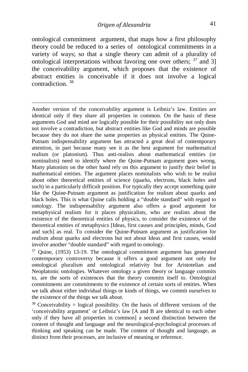ontological commitment argument, that maps how a first philosophy theory could be reduced to a series of ontological commitments in a variety of ways; so that a single theory can admit of a plurality of ontological interpretations without favoring one over others;  $37$  and 3] the conceivability argument, which proposes that the existence of abstract entities is conceivable if it does not involve a logical contradiction. [38](#page-9-1)

 Another version of the conceivability argument is Leibniz's law. Entities are identical only if they share all properties in common. On the basis of these arguments God and mind are logically possible for their possibility not only does not involve a contradiction, but abstract entities like God and minds are possible because they do not share the same properties as physical entities. The Quine-Putnam indispensability argument has attracted a great deal of contemporary attention, in part because many see it as the best argument for mathematical realism (or platonism). Thus anti-realists about mathematical entities (or nominalists) need to identify where the Quine-Putnam argument goes wrong. Many platonists on the other hand rely on this argument to justify their belief in mathematical entities. The argument places nominalists who wish to be realist about other theoretical entities of science (quarks, electrons, black holes and such) in a particularly difficult position. For typically they accept something quite like the Quine-Putnam argument as justification for realism about quarks and black holes. This is what Quine calls holding a "double standard" with regard to ontology. The indispensability argument also offers a good argument for metaphysical realism for it places physicalists, who are realists about the existence of the theoretical entities of physics, to consider the existence of the theoretical entities of metaphysics [Ideas, first causes and principles, minds, God and such] as real. To consider the Quine-Putnam argument as justification for realism about quarks and electrons but not about Ideas and first causes, would involve another "double standard" with regard to ontology.

<span id="page-9-0"></span> $37$  Quine, (1953) 13-19. The ontological commitment argument has generated contemporary controversy because it offers a good argument not only for ontological pluralism and ontological relativity but for Aristotelian and Neoplatonic ontologies. Whatever ontology a given theory or language commits to, are the sorts of existences that the theory commits itself to. Ontological commitments are commitments to the existence of certain sorts of entities. When we talk about either individual things or kinds of things, we commit ourselves to the existence of the things we talk about.

<span id="page-9-1"></span><sup>38</sup> Conceivability = logical possibility. On the basis of different versions of the 'conceivability argument' or Leibniz's law [A and B are identical to each other only if they have all properties in common] a second distinction between the content of thought and language and the neurological-psychological processes of thinking and speaking can be made. The content of thought and language, as distinct from their processes, are inclusive of meaning or reference.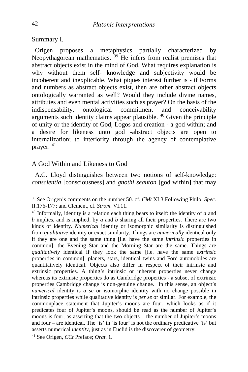Summary I.

 Origen proposes a metaphysics partially characterized by Neopythagorean mathematics. <sup>[39](#page-10-0)</sup> He infers from realist premises that abstract objects exist in the mind of God. What requires explanation is why without them self- knowledge and subjectivity would be incoherent and inexplicable. What piques interest further is - if Forms and numbers as abstract objects exist, then are other abstract objects ontologically warranted as well? Would they include divine names, attributes and even mental activities such as prayer? On the basis of the indispensability, ontological commitment and conceivability arguments such identity claims appear plausible.  $40$  Given the principle of unity or the identity of God, Logos and creation - a god within; and a desire for likeness unto god -abstract objects are open to internalization; to interiority through the agency of contemplative prayer. [41](#page-10-2)

#### A God Within and Likeness to God

 A.C. Lloyd distinguishes between two notions of self-knowledge: *conscientia* [consciousness] and *gnothi seauton* [god within] that may

<span id="page-10-0"></span><sup>39</sup> See Origen's comments on the number 50. cf. *CMt* XI.3.Following Philo, *Spec*. II.176-177; and Clement, cf. *Strom*. VI.11.

<span id="page-10-1"></span><sup>40</sup> Informally, identity is a relation each thing bears to itself: the identity of *a* and *b* implies, and is implied, by *a* and *b* sharing all their properties. There are two kinds of identity. *Numerical* identity or isomorphic similarity is distinguished from *qualitative* identity or exact similarity. Things are *numerically* identical only if they are one and the same thing [i.e. have the same *intrinsic* properties in common]: the Evening Star and the Morning Star are the same. Things are *qualitatively* identical if they look the same [i.e. have the same *extrinsic* properties in common]: planets, stars, identical twins and Ford automobiles are quantitatively identical. Objects also differ in respect of their intrinsic and extrinsic properties. A thing's intrinsic or inherent properties never change whereas its extrinsic properties do as Cambridge properties - a subset of extrinsic properties Cambridge change is non-genuine change. In this sense, an object's *numerical* identity is *a se* or isomorphic identity with no change possible in intrinsic properties while qualitative identity is *per se* or similar. For example, the commonplace statement that Jupiter's moons are four, which looks as if it predicates four of Jupiter's moons, should be read as the number of Jupiter's moons is four, as asserting that the two objects – the number of Jupiter's moons and four – are identical. The `is' in `is four' is not the ordinary predicative `is' but asserts numerical *identity*, just as in Euclid is the discoverer of geometry. 41 See Origen, *CCt* Preface; *Orat*. 1.

<span id="page-10-2"></span>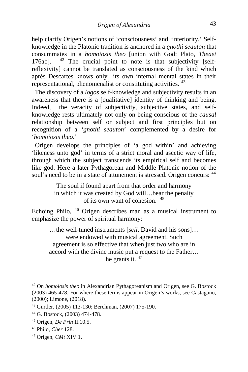help clarify Origen's notions of 'consciousness' and 'interiority.' Selfknowledge in the Platonic tradition is anchored in a *gnothi seauton* that consummates in a *homoiosis theo* [union with God: Plato, *Theaet*  176ab].  $42$  The crucial point to note is that subjectivity [selfreflexivity] cannot be translated as consciousness of the kind which après Descartes knows only its own internal mental states in their representational, phenomenalist or constituting activities. [43](#page-11-1)

 The discovery of a *logos* self-knowledge and subjectivity results in an awareness that there is a [qualitative] identity of thinking and being. Indeed, the veracity of subjectivity, subjective states, and selfknowledge rests ultimately not only on being conscious of the *causal*  relationship between self or subject and first principles but on recognition of a '*gnothi seauton*' complemented by a desire for '*homoiosis theo*.'

 Origen develops the principles of 'a god within' and achieving 'likeness unto god' in terms of a strict moral and ascetic way of life, through which the subject transcends its empirical self and becomes like god. Here a later Pythagorean and Middle Platonic notion of the soul's need to be in a state of attunement is stressed. Origen concurs:  $44$ 

> The soul if found apart from that order and harmony in which it was created by God will…bear the penalty of its own want of cohesion. [45](#page-11-3)

Echoing Philo, [46](#page-11-4) Origen describes man as a musical instrument to emphasize the power of spiritual harmony:

…the well-tuned instruments [*scil*. David and his sons]… were endowed with musical agreement. Such agreement is so effective that when just two who are in accord with the divine music put a request to the Father… he grants it. [47](#page-11-5)

<span id="page-11-0"></span><sup>42</sup> On *homoiosis theo* in Alexandrian Pythagoreanism and Origen, see G. Bostock (2003) 465-478. For where these terms appear in Origen's works, see Castagano, (2000); Limone, (2018).

<span id="page-11-1"></span><sup>43</sup> Gurtler, (2005) 113-130; Berchman, (2007) 175-190.

<span id="page-11-2"></span><sup>44</sup> G. Bostock, (2003) 474-478.

<span id="page-11-3"></span><sup>45</sup> Origen, *De Prin* II.10.5.

<span id="page-11-4"></span><sup>46</sup> Philo, *Cher* 128.

<span id="page-11-5"></span><sup>47</sup> Origen, *CMt* XIV 1.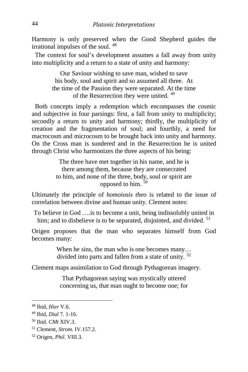Harmony is only preserved when the Good Shepherd guides the irrational impulses of the soul. [48](#page-12-0)

 The context for soul's development assumes a fall away from unity into multiplicity and a return to a state of unity and harmony:

> Our Saviour wishing to save man, wished to save his body, soul and spirit and so assumed all three. At the time of the Passion they were separated. At the time of the Resurrection they were united. [49](#page-12-1)

 Both concepts imply a redemption which encompasses the cosmic and subjective in four parsings: first, a fall from unity to multiplicity; secondly a return to unity and harmony; thirdly, the multiplicity of creation and the fragmentation of soul; and fourthly, a need for macrocosm and microcosm to be brought back into unity and harmony. On the Cross man is sundered and in the Resurrection he is united through Christ who harmonizes the three aspects of his being:

> The three have met together in his name, and he is there among them, because they are consecrated to him, and none of the three, body, soul or spirit are opposed to him.  $50$

Ultimately the principle of *homoiosis theo* is related to the issue of correlation between divine and human unity. Clement notes:

To believe in God ….is to become a unit, being indissolubly united in him; and to disbelieve is to be separated, disjointed, and divided. <sup>[51](#page-12-3)</sup>

Origen proposes that the man who separates himself from God becomes many:

> When he sins, the man who is one becomes many... divided into parts and fallen from a state of unity. [52](#page-12-4)

Clement maps assimilation to God through Pythagorean imagery.

That Pythagorean saying was mystically uttered concerning us, that man ought to become one; for

<span id="page-12-0"></span><sup>48</sup> Ibid, *Hier* V.6.

<span id="page-12-1"></span><sup>49</sup> Ibid, *Dial* 7. 1-16.

<span id="page-12-2"></span><sup>50</sup> Ibid. *CMt* XIV.3.

<span id="page-12-3"></span><sup>51</sup> Clement, *Strom.* IV.157.2.

<span id="page-12-4"></span><sup>52</sup> Origen, *Phil.* VIII.3.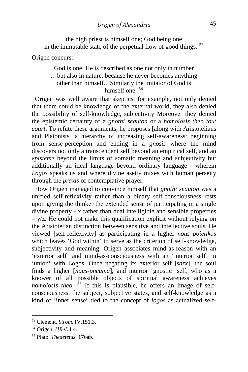the high priest is himself one; God being one in the immutable state of the perpetual flow of good things. [53](#page-13-0)

Origen concurs:

### God is one. He is described as one not only in number …but also in nature, because he never becomes anything other than himself…Similarly the imitator of God is himself one.<sup>[54](#page-13-1)</sup>

 Origen was well aware that skeptics, for example, not only denied that there could be knowledge of the external world, they also denied the possibility of self-knowledge, subjectivity Moreover they denied the epistemic certainty of a *gnothi seauton* or a *homoiosis theo tout court*. To refute these arguments, he proposes [along with Aristotelians and Platonists] a hierarchy of increasing self-awareness: beginning from sense-perception and ending in a *gnosis* where the mind discovers not only a transcendent self beyond an empirical self, and an *episteme* beyond the limits of somatic meaning and subjectivity but additionally an ideal language beyond ordinary language - wherein *Logos* speaks us and where divine aseity mixes with human perseity through the *praxis* of contemplative prayer.

 How Origen managed to convince himself that *gnothi seauton* was a unified self-reflexivity rather than a binary self-consciousness rests upon giving the thinker the extended sense of participating in a single divine property - x rather than dual intelligible and sensible properties  $-$  y/z. He could not make this qualification explicit without relying on the Aristotelian distinction between sensitive and intellective souls. He viewed [self-reflexivity] as participating in a higher *nous poietikos* which leaves 'God within' to serve as the criterion of self-knowledge, subjectivity and meaning. Origen associates mind-as-reason with an 'exterior self' and mind-as-consciousness with an 'interior self' in 'union' with Logos. Once negating its exterior self [*sarx*], the soul finds a higher [*nous-pneuma*], and interior 'gnostic' self, who as a knower of all possible objects of spiritual awareness achieves *homoiosis theo.* <sup>[55](#page-13-2)</sup> If this is plausible, he offers an image of selfconsciousness, the subject, subjective states, and self-knowledge as a kind of 'inner sense' tied to the concept of *logos* as actualized self-

<span id="page-13-0"></span><sup>53</sup> Clement, *Strom.* IV.151.3.

<span id="page-13-1"></span><sup>54</sup> Origen, *HReL* I.4.

<span id="page-13-2"></span><sup>55</sup> Plato, *Theaetetus*, 176ab.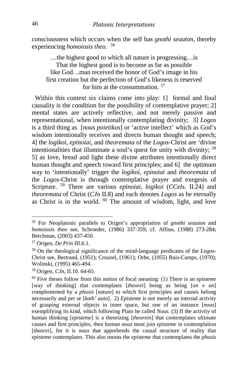consciousness which occurs when the self has *gnothi seauton*, thereby experiencing *homoiosis theo.* [56](#page-14-0)

…the highest good to which all nature is progressing…is That the highest good is to become as far as possible like God. ..man received the honor of God's image in his first creation but the perfection of God's likeness is reserved for him at the consummation. [57](#page-14-1)

 Within this context six claims come into play: 1] formal and final causality is the condition for the possibility of contemplative prayer; 2] mental states are actively reflective, and not merely passive and representational, when intentionally contemplating divinity; 3] *Logos*  is a third thing as [*nous poietikos*] or 'active intellect' which as God's wisdom intentionally receives and directs human thought and speech; 4] the *logikoi*, *epinoiai*, and *theoremata* of the *Logos*-Christ are 'divine intentionalities that illuminate a soul's quest for unity with divinity; [58](#page-14-2) 5] as love, bread and light these divine attributes intentionally direct human thought and speech toward first principles; and 6] the optimum way to 'intentionally' trigger the *logikoi*, *epinoiai* and *theoremata* of the *Logos*-Christ is through contemplative prayer and exegesis of Scripture. [59](#page-14-3) There are various *epinoiai, logikoi* (*CCels.* II.24) and *theoremata* of Christ (*CJn* II.8) and each denotes *Logos* as he eternally as Christ is in the world.  $60$  The amount of wisdom, light, and love

<span id="page-14-0"></span><sup>56</sup> For Neoplatonic parallels to Origen's appropriation of *gnothi seauton* and *homoiosis theo* see, Schroeder, (1986) 337-359; cf. Alfino, (1988) 273-284; Berchman, (2003) 437-450.

<span id="page-14-1"></span><sup>57</sup> Origen, *De Prin* III.6.1.

<span id="page-14-2"></span><sup>58</sup> On the theological significance of the mind-language predicates of the *Logos*-Christ see, Bertrand, (1951); Crouzel, (1961); Orbe, (1955) Ruis-Camps, (1970); Wolinski, (1995) 465-494.

<span id="page-14-3"></span><sup>59</sup> Origen, *CJn,* II.10. 64-65.

<span id="page-14-4"></span><sup>60</sup> Five theses follow from this notion of focal meaning: (1) There is an *episteme*  [way of thinking] that contemplates [*theorei*] being as being [*on e on*] complemented by a *phusis* [nature] to which first principles and causes belong necessarily and per se [*kath' auto*]. 2) *Episteme* is not merely an internal activity of grasping external objects in inner space, but one of an instance [*nous*] exemplifying its kind, which following Plato he called *Nous*. (3) If the activity of human thinking [*episteme*] is a theorizing [*theorein*] that contemplates ultimate causes and first principles, then human *nous* must join *episteme* in contemplation [*theorei*], for it is *nous* that apprehends the causal structure of reality that *episteme* contemplates. This also means the *episteme* that contemplates the *phusis*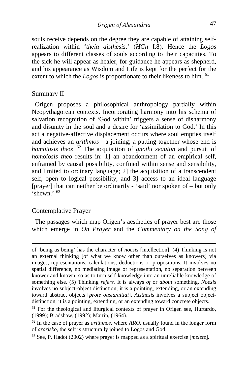souls receive depends on the degree they are capable of attaining selfrealization within '*theia aisthesis*.' (*HGn* I.8). Hence the *Logos*  appears to different classes of souls according to their capacities. To the sick he will appear as healer, for guidance he appears as shepherd, and his appearance as Wisdom and Life is kept for the perfect for the extent to which the *Logos* is proportionate to their likeness to him. <sup>[61](#page-15-0)</sup>

#### Summary II

 Origen proposes a philosophical anthropology partially within Neopythagorean contexts. Incorporating harmony into his schema of salvation recognition of 'God within' triggers a sense of disharmony and disunity in the soul and a desire for 'assimilation to God.' In this act a negative-affective displacement occurs where soul empties itself and achieves an *arithmos -* a joining; a putting together whose end is *homoiosis theo*: [62](#page-15-1) The acquisition of *gnothi seauton* and pursuit of *homoiosis theo* results in: 1] an abandonment of an empirical self, enframed by causal possibility, confined within sense and sensibility, and limited to ordinary language; 2] the acquisition of a transcendent self, open to logical possibility; and 3] access to an ideal language [prayer] that can neither be ordinarily - 'said' nor spoken of – but only  $\frac{1}{2}$ shewn<sup>, [63](#page-15-2)</sup>

#### Contemplative Prayer

 The passages which map Origen's aesthetics of prayer best are those which emerge in *On Prayer* and the *Commentary on the Song of* 

of 'being as being' has the character of *noesis* [intellection]. (4) Thinking is not an external thinking [of what we know other than ourselves as knowers] via images, representations, calculations, deductions or propositions. It involves no spatial difference, no mediating image or representation, no separation between knower and known, so as to turn self-knowledge into an unreliable knowledge of something else. (5) Thinking *refers.* It is always *of* or *about* something. *Noesis*  involves no subject-object distinction; it is a pointing, extending, or an extending toward abstract objects [*prote ousia/aitiai*]. *Aisthesis* involves a subject objectdistinction; it is a pointing, extending, or an extending toward concrete objects.

<span id="page-15-0"></span><sup>&</sup>lt;sup>61</sup> For the theological and liturgical contexts of prayer in Origen see, Hurtardo, (1999); Bradshaw, (1992); Martin, (1964).

<span id="page-15-1"></span><sup>62</sup> In the case of prayer as *arithmos*, where *ARO*, usually found in the longer form of *ararisko,* the self is structurally joined to Logos and God.

<span id="page-15-2"></span><sup>63</sup> See, P. Hadot (2002) where prayer is mapped as a spiritual exercise [*melete*].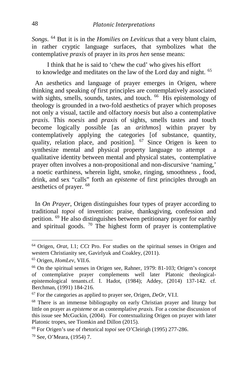*Songs*. [64](#page-16-0) But it is in the *Homilies on Leviticus* that a very blunt claim, in rather cryptic language surfaces, that symbolizes what the contemplative *praxis* of prayer in its *pros hen* sense means:

I think that he is said to 'chew the cud' who gives his effort to knowledge and meditates on the law of the Lord day and night. [65](#page-16-1)

 An aesthetics and language of prayer emerges in Origen, where thinking and speaking *of* first principles are contemplatively associated with sights, smells, sounds, tastes, and touch. <sup>66</sup> His epistemology of theology is grounded in a two-fold aesthetics of prayer which proposes not only a visual, tactile and olfactory *noesis* but also a contemplative *praxis*. This *noesis* and *praxis* of sights, smells tastes and touch become logically possible [as an *arithmos*] within prayer by contemplatively applying the categories [of substance, quantity, quality, relation place, and position]. <sup>[67](#page-16-3)</sup> Since Origen is keen to synthesize mental and physical property language to attempt a qualitative identity between mental and physical states, contemplative prayer often involves a non-propositional and non-discursive 'naming,' a noetic earthiness, wherein light, smoke, ringing, smoothness , food, drink, and sex "calls" forth an *episteme* of first principles through an aesthetics of prayer. [68](#page-16-4)

 In *On Prayer*, Origen distinguishes four types of prayer according to traditional *topoi* of invention: praise, thanksgiving, confession and petition. [69](#page-16-5) He also distinguishes between petitionary prayer for earthly and spiritual goods.  $\frac{70}{2}$  $\frac{70}{2}$  $\frac{70}{2}$  The highest form of prayer is contemplative

<span id="page-16-0"></span><sup>64</sup> Origen, *Orat*, I.1; *CCt* Pro. For studies on the spiritual senses in Origen and western Christianity see, Gavirlyuk and Coakley, (2011).

<span id="page-16-1"></span><sup>65</sup> Origen, *HomLev*, VII.6.

<span id="page-16-2"></span><sup>66</sup> On the spiritual senses in Origen see, Rahner, 1979: 81-103; Origen's concept of contemplative prayer complements well later Platonic theologicalepistemological tenants.cf. I. Hadot, (1984); Addey, (2014) 137-142. cf. Berchman, (1991) 184-216.

<span id="page-16-3"></span> $67$  For the categories as applied to prayer see, Origen, *DeOr*, VI.I.

<span id="page-16-4"></span><sup>68</sup> There is an immense bibliography on early Christian prayer and liturgy but little on prayer as *episteme* or as contemplative *praxis.* For a concise discussion of this issue see McGuckin, (2004). For contextualizing Origen on prayer with later Platonic tropes, see Tiomkin and Dillon (2015).

<span id="page-16-5"></span><sup>69</sup> For Origen's use of rhetorical *topoi* see O'Cleirigh (1995) 277-286.

<span id="page-16-6"></span><sup>70</sup> See, O'Meara, (1954) 7.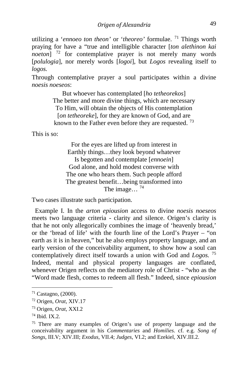utilizing a '*ennoeo ton theon'* or '*theoreo'* formulae. [71](#page-17-0) Things worth praying for have a "true and intelligible character [*ton alethinon kai noeton*]<sup>[72](#page-17-1)</sup> for contemplative prayer is not merely many words [*polulogia*], nor merely words [*logoi*], but *Logos* revealing itself to *logos.* 

Through contemplative prayer a soul participates within a divine *noesis noeseos*:

> But whoever has contemplated [*ho tetheorekos*] The better and more divine things, which are necessary To Him, will obtain the objects of His contemplation [*on tetheoreke*], for they are known of God, and are known to the Father even before they are requested.<sup>[73](#page-17-2)</sup>

This is so:

For the eyes are lifted up from interest in Earthly things…they look beyond whatever Is begotten and contemplate [*ennoein*] God alone, and hold modest converse with The one who hears them. Such people afford The greatest benefit…being transformed into The image...<sup>[74](#page-17-3)</sup>

Two cases illustrate such participation.

 Example I. In the *arton epiousion* access to divine *noesis noeseos* meets two language criteria - clarity and silence. Origen's clarity is that he not only allegorically combines the image of 'heavenly bread,' or the 'bread of life' with the fourth line of the Lord's Prayer – "on earth as it is in heaven," but he also employs property language, and an early version of the conceivability argument, to show how a soul can contemplatively direct itself towards a union with God and *Logos.* [75](#page-17-4) Indeed, mental and physical property languages are conflated, whenever Origen reflects on the mediatory role of Christ - "who as the "Word made flesh, comes to redeem all flesh." Indeed, since *epiousion* 

<span id="page-17-0"></span><sup>71</sup> Castagno, (2000).

<span id="page-17-1"></span><sup>72</sup> Origen, *Orat*, XIV.17

<span id="page-17-2"></span><sup>73</sup> Origen, *Orat*, XXI.2

<span id="page-17-3"></span> $74$  Ibid. IX.2.

<span id="page-17-4"></span><sup>75</sup> There are many examples of Origen's use of property language and the conceivability argument in his *Commentaries* and *Homilies*. cf. e.g. *Song of Songs*, III.V; XIV.III; *Exodus*, VII.4; *Judges*, VI.2; and Ezekiel, XIV.III.2.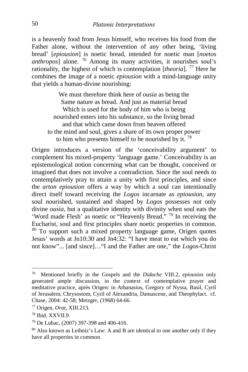is a heavenly food from Jesus himself, who receives his food from the Father alone, without the intervention of any other being, 'living bread' [*epiousion*] is noetic bread, intended for noetic man [*noetos anthropos*] alone. <sup>[76](#page-18-0)</sup> Among its many activities, it nourishes soul's rationality, the highest of which is contemplation [*theoria*].<sup>[77](#page-18-1)</sup> Here he combines the image of a noetic *epiousion* with a mind-language unity that yields a human-divine nourishing:

We must therefore think here of *ousia* as being the Same nature as bread. And just as material bread Which is used for the body of him who is being nourished enters into his substance, so the living bread and that which came down from heaven offered to the mind and soul, gives a share of its own proper power to him who presents himself to be nourished by it.  $78$ 

Origen introduces a version of the 'conceivability argument' to complement his mixed-property 'language game.' Conceivability is an epistemological notion concerning what can be thought, conceived or imagined that does not involve a contradiction. Since the soul needs to contemplatively pray to attain a unity with first principles, and since the *arton epiousion* offers a way by which a soul can intentionally direct itself toward receiving the *Logos* incarnate as *epiousion*, any soul nourished, sustained and shaped by *Logos* possesses not only divine *ousia*, but a qualitative identity with divinity when soul eats the 'Word made Flesh' as noetic or "Heavenly Bread." [79](#page-18-3) In receiving the Eucharist, soul and first principles share noetic properties in common. [80](#page-18-4) To support such a mixed property language game, Origen quotes Jesus' words at Jn10:30 and Jn4:32: "I have meat to eat which you do not know"... [and since]…"I and the Father are one," the *Logos*-Christ

<span id="page-18-0"></span>76 Mentioned briefly in the Gospels and the *Didache* VIII.2, *epiousios* only generated ample discussion, in the context of contemplative prayer and meditative practice, après Origen: in Athanasius, Gregory of Nyssa, Basil, Cyril of Jerusalem, Chrysostom, Cyril of Alexandria, Damascene, and Theophylact. cf. Chase, 2004: 42-58; Metzger, (1968) 64-66.

<span id="page-18-1"></span><sup>77</sup> Origen, *Orat*, XIII.213.

<span id="page-18-2"></span><sup>78</sup> Ibid. XXVII.9.

<span id="page-18-3"></span><sup>79</sup> De Lubac, (2007) 397-398 and 406-416.

<span id="page-18-4"></span><sup>80</sup> Also known as Leibniz's Law: A and B are identical to one another only if they have all properties in common.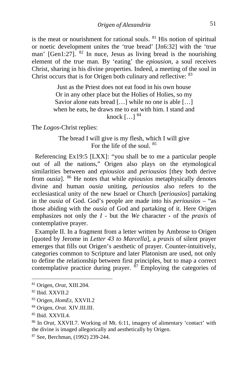is the meat or nourishment for rational souls.  $81$  His notion of spiritual or noetic development unites the 'true bread' [Jn6:32] with the 'true man'  $[Gen1:27]$ <sup>[82](#page-19-1)</sup> In nuce, Jesus as living bread is the nourishing element of the true man. By 'eating' the *epiousion*, a soul receives Christ, sharing in his divine properties. Indeed, a meeting of the soul in Christ occurs that is for Origen both culinary and reflective: [83](#page-19-2)

> Just as the Priest does not eat food in his own house Or in any other place but the Holies of Holies, so my Savior alone eats bread [...] while no one is able [...] when he eats, he draws me to eat with him. I stand and knock  $\left[ \ldots \right]$   $84$

The *Logos*-Christ replies:

The bread I will give is my flesh, which I will give For the life of the soul. [85](#page-19-4)

 Referencing Ex19:5 [LXX]: "you shall be to me a particular people out of all the nations," Origen also plays on the etymological similarities between and *epiousios* and *periousios* [they both derive from *ousia*]. [86](#page-19-5) He notes that while *epiousios* metaphysically denotes divine and human *ousia* uniting, *periousios* also refers to the ecclesiastical unity of the new Israel or Church [*periousios*] partaking in the *ousia* of God. God's people are made into his *periousios* – "as those abiding with the *ousia* of God and partaking of it. Here Origen emphasizes not only the *I* - but the *We* character - of the *praxis* of contemplative prayer.

Example II. In a fragment from a letter written by Ambrose to Origen [quoted by Jerome in *Letter 43 to Marcella*], a *praxis* of silent prayer emerges that fills out Origen's aesthetic of prayer. Counter-intuitively, categories common to Scripture and later Platonism are used, not only to define the relationship between first principles, but to map a correct contemplative practice during prayer.  $\frac{87}{2}$  $\frac{87}{2}$  $\frac{87}{2}$  Employing the categories of

<span id="page-19-0"></span><sup>81</sup> Origen, *Orat*, XIII.204.

<span id="page-19-1"></span><sup>82</sup> Ibid. XXVII.2

<span id="page-19-2"></span><sup>83</sup> Origen, *HomEz*, XXVII.2

<span id="page-19-3"></span><sup>84</sup> Origen, *Orat.* XIV.III.III.

<span id="page-19-4"></span><sup>85</sup> Ibid. XXVII.4.

<span id="page-19-5"></span><sup>86</sup> In *Orat*, XXVII.7. Working of Mt. 6:11, imagery of alimentary 'contact' with the divine is imaged allegorically and aesthetically by Origen.

<span id="page-19-6"></span><sup>87</sup> See, Berchman, (1992) 239-244.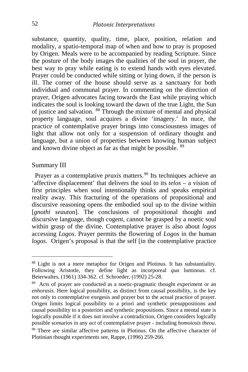substance, quantity, quality, time, place, position, relation and modality, a spatio-temporal map of when and how to pray is proposed by Origen. Meals were to be accompanied by reading Scripture. Since the posture of the body images the qualities of the soul in prayer, the best way to pray while eating is to extend hands with eyes elevated. Prayer could be conducted while sitting or lying down, if the person is ill. The corner of the house should serve as a sanctuary for both individual and communal prayer. In commenting on the direction of prayer, Origen advocates facing towards the East while praying which indicates the soul is looking toward the dawn of the true Light, the Sun of justice and salvation. [88](#page-20-0) Through the mixture of mental and physical property language, soul acquires a divine 'imagery.' In nuce, the practice of contemplative prayer brings into consciousness images of light that allow not only for a suspension of ordinary thought and language, but a union of properties between knowing human subject and known divine object as far as that might be possible. [89](#page-20-1)

#### Summary III

Prayer as a contemplative *praxis* matters.<sup>[90](#page-20-2)</sup> Its techniques achieve an 'affective displacement' that delivers the soul to its *telos* – a vision of first principles when soul intentionally thinks and speaks empirical reality away. This fracturing of the operations of propositional and discursive reasoning opens the embodied soul up to the divine within [*gnothi seauton*]. The conclusions of propositional thought and discursive language, though cogent, cannot be grasped by a noetic soul within grasp of the divine. Contemplative prayer is also about *logos* accessing *Logos*. Prayer permits the flowering of *Logos* in the human *logos*. Origen's proposal is that the self [in the contemplative practice

<span id="page-20-0"></span><sup>88</sup> Light is not a mere metaphor for Origen and Plotinus. It has substantiality. Following Aristotle, they define light as incorporeal *qua* luminous. cf. Beierwaltes, (1961) 334-362. cf. Schroeder, (1992) 25-28.

<span id="page-20-2"></span><span id="page-20-1"></span><sup>&</sup>lt;sup>89</sup> Acts of prayer are conducted as a noetic-pragmatic thought experiment or an *enhorasis.* Here logical possibility, as distinct from causal possibility, is the key not only to contemplative exegesis and prayer but to the actual practice of prayer. Origen limits logical possibility to a priori and synthetic presuppositions and causal possibility to a posteriori and synthetic propositions. Since a mental state is logically possible if it does not involve a contradiction, Origen considers logically possible scenarios in any *act* of contemplative prayer - including *homoiosis theou*. <sup>90</sup> There are similar affective patterns in Plotinus. On the affective character of Plotinian thought experiments see, Rappe, (1996) 259-266.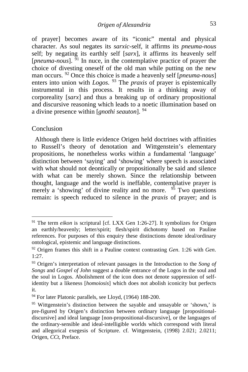of prayer] becomes aware of its "iconic" mental and physical character. As soul negates its *sarxic*-self, it affirms its *pneuma*-*nous* self; by negating its earthly self [*sarx*], it affirms its heavenly self [*pneuma-nous*]. <sup>[91](#page-21-0)</sup> In nuce, in the contemplative practice of prayer the choice of divesting oneself of the old man while putting on the new man occurs. [92](#page-21-1) Once this choice is made a heavenly self [*pneuma-nous*] enters into union with *Logos*. <sup>[93](#page-21-2)</sup> The *praxis* of prayer is epistemically instrumental in this process. It results in a thinking away of corporeality [*sarx*] and thus a breaking up of ordinary propositional and discursive reasoning which leads to a noetic illumination based on a divine presence within [*gnothi seauton*]. [94](#page-21-3)

#### Conclusion

 Although there is little evidence Origen held doctrines with affinities to Russell's theory of denotation and Wittgenstein's elementary propositions, he nonetheless works within a fundamental 'language' distinction between 'saying' and 'showing' where speech is associated with what should not deontically or propositionally be said and silence with what can be merely shown. Since the relationship between thought, language and the world is ineffable, contemplative prayer is merely a 'showing' of divine reality and no more. <sup>[95](#page-21-4)</sup> Two questions remain: is speech reduced to silence in the *praxis* of prayer; and is

<span id="page-21-0"></span><sup>&</sup>lt;sup>91</sup> The term *eikon* is scriptural [cf. LXX Gen 1:26-27]. It symbolizes for Origen an earthly/heavenly; letter/spirit; flesh/spirit dichotomy based on Pauline references. For purposes of this enquiry these distinctions denote ideal/ordinary ontological, epistemic and language distinctions.

<span id="page-21-1"></span><sup>92</sup> Origen frames this shift in a Pauline context contrasting *Gen*. 1:26 with *Gen*. 1:27.

<span id="page-21-2"></span><sup>93</sup> Origen's interpretation of relevant passages in the Introduction to the *Song of Songs* and *Gospel of John* suggest a double entrance of the Logos in the soul and the soul in Logos. Abolishment of the icon does not denote suppression of selfidentity but a likeness [*homoiosis*] which does not abolish iconicity but perfects it.

<span id="page-21-3"></span><sup>94</sup> For later Platonic parallels, see Lloyd, (1964) 188-200.

<span id="page-21-4"></span><sup>&</sup>lt;sup>95</sup> Wittgenstein's distinction between the sayable and unsayable or 'shown,' is pre-figured by Origen's distinction between ordinary language [propositionaldiscursive] and ideal language [non-propositional-discursive], or the languages of the ordinary-sensible and ideal-intelligible worlds which correspond with literal and allegorical exegesis of Scripture. cf. Wittgenstein, (1998) 2.021; 2.0211; Origen, *CCt*, Preface.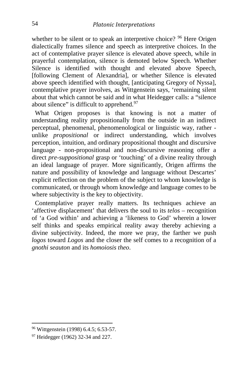whether to be silent or to speak an interpretive choice? <sup>[96](#page-22-0)</sup> Here Origen dialectically frames silence and speech as interpretive choices. In the act of contemplative prayer silence is elevated above speech, while in prayerful contemplation, silence is demoted below Speech. Whether Silence is identified with thought and elevated above Speech, [following Clement of Alexandria], or whether Silence is elevated above speech identified with thought, [anticipating Gregory of Nyssa], contemplative prayer involves, as Wittgenstein says, 'remaining silent about that which cannot be said and in what Heidegger calls: a "silence about silence" is difficult to apprehend. $97$ 

What Origen proposes is that knowing is not a matter of understanding reality propositionally from the outside in an indirect perceptual, phenomenal, phenomenological or linguistic way, rather unlike *propositional* or indirect understanding, which involves perception, intuition, and ordinary propositional thought and discursive language - non-propositional and non-discursive reasoning offer a direct *pre-suppositional* grasp or 'touching' of a divine reality through an ideal language of prayer. More significantly, Origen affirms the nature and possibility of knowledge and language without Descartes' explicit reflection on the problem of the subject to whom knowledge is communicated, or through whom knowledge and language comes to be where subjectivity is the key to objectivity.

 Contemplative prayer really matters. Its techniques achieve an 'affective displacement' that delivers the soul to its *telos* – recognition of 'a God within' and achieving a 'likeness to God' wherein a lower self thinks and speaks empirical reality away thereby achieving a divine subjectivity. Indeed, the more we pray, the farther we push *logos* toward *Logos* and the closer the self comes to a recognition of a *gnothi seauton* and its *homoiosis theo*.

<span id="page-22-0"></span><sup>96</sup> Wittgenstein (1998) 6.4.5; 6.53-57.

<span id="page-22-1"></span><sup>97</sup> Heidegger (1962) 32-34 and 227.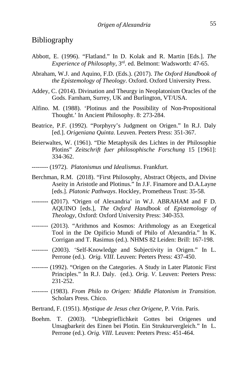### Bibliography

- Abbott, E. (1996). "Flatland." In D. Kolak and R. Martin [Eds.]. *The Experience of Philosophy*, 3rd. ed. Belmont: Wadsworth: 47-65.
- Abraham, W.J. and Aquino, F.D. (Eds.). (2017). *The Oxford Handbook of the Epistemology of Theology*. Oxford. Oxford University Press.
- Addey, C. (2014). Divination and Theurgy in Neoplatonism Oracles of the Gods. Farnham, Surrey, UK and Burlington, VT/USA.
- Alfino. M. (1988). 'Plotinus and the Possibility of Non-Propositional Thought.' In Ancient Philosophy. 8: 273-284.
- Beatrice, P.F. (1992). "Porphyry's Judgment on Origen." In R.J. Daly [ed.]. *Origeniana Quinta*. Leuven. Peeters Press: 351-367.
- Beierwaltes, W. (1961). "Die Metaphysik des Lichtes in der Philosophie Plotins" *Zeitschrift fuer philosophische Forschung* 15 [1961]: 334-362.
- -------- (1972). *Platonismus und Idealismus*. Frankfurt.
- Berchman, R.M. (2018). "First Philosophy, Abstract Objects, and Divine Aseity in Aristotle and Plotinus." In J.F. Finamore and D.A.Layne [eds.]. *Platonic Pathways*. Hockley, Prometheus Trust: 35-58.
- **-------- (**2017). **'**Origen of Alexandria' in W.J. ABRAHAM and F D. AQUINO [eds.], *The Oxford Handbook* of *Epistemology of Theology*, Oxford: Oxford University Press: 340-353.
- -------- (2013). "Arithmos and Kosmos: Arithmology as an Exegetical Tool in the De Opificio Mundi of Philo of Alexandria." In K. Corrigan and T. Rasimus (ed.). NHMS 82 Leiden: Brill: 167-198.
- -------- (2003). 'Self-Knowledge and Subjectivity in Origen." In L. Perrone (ed.). *Orig. VIII*. Leuven: Peeters Press: 437-450.
- -------- (1992). "Origen on the Categories. A Study in Later Platonic First Principles." In R.J. Daly. (ed.). *Orig. V*. Leuven: Peeters Press: 231-252.
- -------- (1983). *From Philo to Origen: Middle Platonism in Transition*. Scholars Press. Chico.
- Bertrand, F. (1951). *Mystique de Jesus chez Origene*, P. Vrin. Paris.
- Boehm. T. (2003). "Unbegrieflichkeit Gottes bei Origenes und Unsagbarkeit des Einen bei Plotin. Ein Strukturvergleich." In L. Perrone (ed.). *Orig. VIII*. Leuven: Peeters Press: 451-464.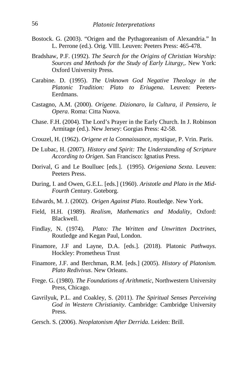- Bostock. G. (2003). "Origen and the Pythagoreanism of Alexandria." In L. Perrone (ed.). Orig. VIII. Leuven: Peeters Press: 465-478.
- Bradshaw, P.F. (1992). *The Search for the Origins of Christian Worship: Sources and Methods for the Study of Early Liturgy*,. New York: Oxford University Press.
- Carabine. D. (1995). *The Unknown God Negative Theology in the Platonic Tradition: Plato to Eriugena*. Leuven: Peeters-Eerdmans.
- Castagno, A.M. (2000). *Origene. Dizionaro, la Cultura, il Pensiero, le Opera*. Roma: Citta Nuova.
- Chase. F.H. (2004). The Lord's Prayer in the Early Church. In J. Robinson Armitage (ed.). New Jersey: Gorgias Press: 42-58.
- Crouzel, H. (1962). *Origene et la Connaissance, mystique*, P. Vrin. Paris.
- De Lubac, H. (2007). *History and Spirit: The Understanding of Scripture According to Origen*. San Francisco: Ignatius Press.
- Dorival, G and Le Boulluec [eds.]. (1995). *Origeniana Sexta*. Leuven: Peeters Press.
- During, I. and Owen, G.E.L. [eds.] (1960). *Aristotle and Plato in the Mid-Fourth C*entury. Goteborg.
- Edwards, M. J. (2002). *Origen Against Plato*. Routledge. New York.
- Field, H.H. (1989). *Realism, Mathematics and Modality*, Oxford: Blackwell.
- Findlay, N. (1974). *Plato: The Written and Unwritten Doctrines*, Routledge and Kegan Paul, London.
- Finamore, J.F and Layne, D.A. [eds.]. (2018). Platonic *Pathways*. Hockley: Prometheus Trust
- Finamore, J.F. and Berchman, R.M. [eds.] (2005). *History of Platonism. Plato Redivivus*. New Orleans.
- Frege. G. (1980). *The Foundations of Arithmetic*, Northwestern University Press, Chicago.
- Gavrilyuk, P.L. and Coakley, S. (2011). *The Spiritual Senses Perceiving God in Western Christianity*. Cambridge: Cambridge University Press.
- Gersch. S. (2006). *Neoplatonism After Derrida*. Leiden: Brill.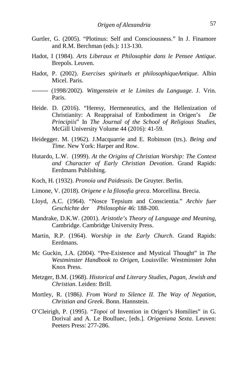- Gurtler, G. (2005). "Plotinus: Self and Consciousness." In J. Finamore and R.M. Berchman (eds.): 113-130.
- Hadot, I (1984). *Arts Liberaux et Philosophie dans le Pensee Antique*. Brepols. Leuven.
- Hadot, P. (2002). *Exercises spirituels et philosophiqueAntique*. Albin Micel. Paris.
- -------- (1998/2002). *Wittgenstein et le Limites du Language*. J. Vrin. Paris.
- Heide. D. (2016). "Heresy, Hermeneutics, and the Hellenization of Christianity: A Reappraisal of Embodiment in Origen's *De Principiis*" In *The Journal of the School of Religious Studies*, McGill University Volume 44 (2016): 41-59.
- Heidegger. M. (1962). J.Macquarrie and E. Robinson (trs.). *Being and Time*. New York: Harper and Row.
- Hutardo, L.W. (1999). *At the Origins of Christian Worship: The Context and Character of Early Christian Devotion*. Grand Rapids: Eerdmans Publishing.
- Koch, H. (1932). *Pronoia und Paideusis*. De Gruyter. Berlin.
- Limone, V. (2018). *Origene e la filosofia greca*. Morcellina. Brecia.
- Lloyd, A.C. (1964). "Nosce Tepsium and Conscientia." *Archiv fuer Geschichte der Philosophie* 46: 188-200.
- Mandrake, D.K.W. (2001). *Aristotle's Theory of Language and Meaning*, Cambridge. Cambridge University Press.
- Martin, R.P. (1964). *Worship in the Early Church*. Grand Rapids: Eerdmans.
- Mc Guckin, J.A. (2004). "Pre-Existence and Mystical Thought" in *The Westminster Handbook to Origen*, Louisville: Westminster John Knox Press.
- Metzger, B.M. (1968). *Historical and Literary Studies, Pagan, Jewish and Christian*. Leiden: Brill.
- Mortley, R. (1986*). From Word to Silence II. The Way of Negation, Christian and Greek*. Bonn. Hannstein.
- O'Cleirigh, P. (1995). "*Topoi* of Invention in Origen's Homilies" in G. Dorival and A. Le Boulluec, [eds.]. *Origeniana Sexta*. Leuven: Peeters Press: 277-286.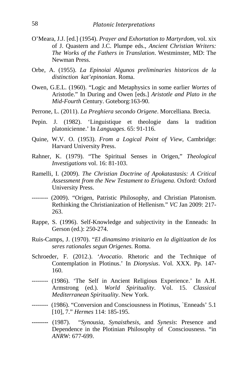- O'Meara, J.J. [ed.] (1954). *Prayer and Exhortation to Martyrdom*, vol. xix of J. Quastern and J.C. Plumpe eds., *Ancient Christian Writers: The Works of the Fathers in Translation*. Westminster, MD: The Newman Press.
- Orbe, A. (1955). *La Epinoiai Algunos preliminaries historicos de la distinction kat'epinonian*. Roma.
- Owen, G.E.L. (1960). "Logic and Metaphysics in some earlier *Wortes* of Aristotle." In During and Owen [eds.] *Aristotle and Plato in the Mid-Fourth C*entury. Goteborg:163-90.
- Perrone, L. (2011). *La Preghiera secondo Origene*. Morcelliana. Brecia.
- Pepin. J. (1982). 'Linguistique et theologie dans la tradition platonicienne.' In *Languages*. 65: 91-116.
- Quine, W.V. O. (1953). *From a Logical Point of View*, Cambridge: Harvard University Press.
- Rahner, K. (1979). "The Spiritual Senses in Origen," *Theological Investigations* vol. 16: 81-103.
- Ramelli, I. (2009). *The Christian Doctrine of Apokatastasis: A Critical Assessment from the New Testament to Eriugena*. Oxford: Oxford University Press.
- -------- (2009). "Origen, Patristic Philosophy, and Christian Platonism. Rethinking the Christianization of Hellenism." *VC* Jan 2009: 217- 263.
- Rappe, S. (1996). Self-Knowledge and subjectivity in the Enneads: In Gerson (ed.): 250-274.
- Ruis-Camps, J. (1970). "*El dinamsimo trinitario en la digitization de los seres rationales segun Origenes.* Roma.
- Schroeder, F. (2012.). '*Avocatio*. Rhetoric and the Technique of Contemplation in Plotinus.' In *Dionysius*. Vol. XXX. Pp. 147- 160.
- -------- (1986). 'The Self in Ancient Religious Experience.' In A.H. Armstrong (ed.). *World Spirituality*. Vol. 15. *Classical Mediterranean Spirituality*. New York.
- -------- (1986). "Conversion and Consciousness in Plotinus, `Enneads' 5.1 [10], 7." *Hermes* 114: 185-195.
- **--------** (1987). "*Synousia, Synaisthesis,* and *Synesis*: Presence and Dependence in the Plotinian Philosophy of Consciousness. "in *ANRW*: 677-699.